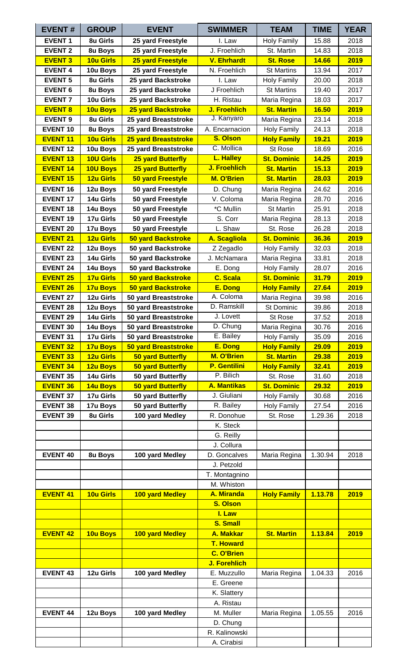| <b>EVENT#</b>   | <b>GROUP</b>     | <b>EVENT</b>                | <b>SWIMMER</b>      | <b>TEAM</b>        | <b>TIME</b>  | <b>YEAR</b> |
|-----------------|------------------|-----------------------------|---------------------|--------------------|--------------|-------------|
| <b>EVENT 1</b>  | 8u Girls         | 25 yard Freestyle           | I. Law              | <b>Holy Family</b> | 15.88        | 2018        |
| <b>EVENT 2</b>  | 8u Boys          | 25 yard Freestyle           | J. Froehlich        | St. Martin         | 14.83        | 2018        |
| <b>EVENT 3</b>  | <b>10u Girls</b> | <b>25 yard Freestyle</b>    | <b>V. Ehrhardt</b>  | <b>St. Rose</b>    | 14.66        | 2019        |
| <b>EVENT 4</b>  | 10u Boys         | 25 yard Freestyle           | N. Froehlich        | <b>St Martins</b>  | 13.94        | 2017        |
| <b>EVENT 5</b>  | 8u Girls         | 25 yard Backstroke          | I. Law              | <b>Holy Family</b> | 20.00        | 2018        |
| <b>EVENT 6</b>  | 8u Boys          | 25 yard Backstroke          | J Froehlich         | <b>St Martins</b>  | 19.40        | 2017        |
| <b>EVENT 7</b>  | 10u Girls        | 25 yard Backstroke          | H. Ristau           | Maria Regina       | 18.03        | 2017        |
| <b>EVENT 8</b>  | 10u Boys         | <b>25 yard Backstroke</b>   | J. Froehlich        | <b>St. Martin</b>  | <b>16.50</b> | 2019        |
| <b>EVENT 9</b>  | 8u Girls         | 25 yard Breaststroke        | J. Kanyaro          | Maria Regina       | 23.14        | 2018        |
| <b>EVENT 10</b> | 8u Boys          | 25 yard Breaststroke        | A. Encarnacion      | <b>Holy Family</b> | 24.13        | 2018        |
| <b>EVENT 11</b> | <b>10u Girls</b> | <b>25 yard Breaststroke</b> | <b>S. Olson</b>     | <b>Holy Family</b> | 19.21        | 2019        |
| <b>EVENT 12</b> | 10u Boys         | 25 yard Breaststroke        | C. Mollica          | St Rose            | 18.69        | 2016        |
| <b>EVENT 13</b> | 10U Girls        | <b>25 yard Butterfly</b>    | L. Halley           | <b>St. Dominic</b> | 14.25        | 2019        |
| <b>EVENT 14</b> | <b>10U Boys</b>  | <b>25 yard Butterfly</b>    | J. Froehlich        | <b>St. Martin</b>  | 15.13        | 2019        |
| <b>EVENT 15</b> | <b>12u Girls</b> | <b>50 yard Freestyle</b>    | M. O'Brien          | <b>St. Martin</b>  | 28.03        | 2019        |
| <b>EVENT 16</b> | 12u Boys         | 50 yard Freestyle           | D. Chung            | Maria Regina       | 24.62        | 2016        |
| <b>EVENT 17</b> | 14u Girls        | 50 yard Freestyle           | V. Coloma           | Maria Regina       | 28.70        | 2016        |
| <b>EVENT 18</b> | 14u Boys         | 50 yard Freestyle           | *C Mullin           | St Martin          | 25.91        | 2018        |
| <b>EVENT 19</b> | 17u Girls        | 50 yard Freestyle           | S. Corr             | Maria Regina       | 28.13        | 2018        |
| <b>EVENT 20</b> | 17u Boys         | 50 yard Freestyle           | L. Shaw             | St. Rose           | 26.28        | 2018        |
| <b>EVENT 21</b> | 12u Girls        | <b>50 yard Backstroke</b>   | <b>A. Scagliola</b> | <b>St. Dominic</b> | 36.36        | 2019        |
| <b>EVENT 22</b> | 12u Boys         | 50 yard Backstroke          | Z Zegadlo           | <b>Holy Family</b> | 32.03        | 2018        |
| <b>EVENT 23</b> | 14u Girls        | 50 yard Backstroke          | J. McNamara         | Maria Regina       | 33.81        | 2018        |
| <b>EVENT 24</b> | 14u Boys         | 50 yard Backstroke          | E. Dong             | <b>Holy Family</b> | 28.07        | 2016        |
| <b>EVENT 25</b> | 17u Girls        | <b>50 yard Backstroke</b>   | C. Scala            | <b>St. Dominic</b> | 31.79        | 2019        |
| <b>EVENT 26</b> | <b>17u Boys</b>  | <b>50 yard Backstroke</b>   | E. Dong             | <b>Holy Family</b> | 27.64        | 2019        |
| <b>EVENT 27</b> | 12u Girls        | 50 yard Breaststroke        | A. Coloma           | Maria Regina       | 39.98        | 2016        |
| <b>EVENT 28</b> | 12u Boys         | 50 yard Breaststroke        | D. Ramskill         | St Dominic         | 39.86        | 2018        |
| <b>EVENT 29</b> | 14u Girls        | 50 yard Breaststroke        | J. Lovett           | St Rose            | 37.52        | 2018        |
| <b>EVENT 30</b> | 14u Boys         | 50 yard Breaststroke        | D. Chung            | Maria Regina       | 30.76        | 2016        |
| <b>EVENT 31</b> | 17u Girls        | 50 yard Breaststroke        | E. Bailey           | <b>Holy Family</b> | 35.09        | 2016        |
| <b>EVENT 32</b> | <b>17u Boys</b>  | 50 yard Breaststroke        | E. Dong             | <b>Holy Family</b> | 29.09        | 2019        |
| <b>EVENT 33</b> | <b>12u Girls</b> | 50 yard Butterfly           | M. O'Brien          | <b>St. Martin</b>  | 29.38        | 2019        |
| <b>EVENT 34</b> | 12u Boys         | 50 yard Butterfly           | <b>P.</b> Gentilini | <b>Holy Family</b> | 32.41        | 2019        |
| <b>EVENT 35</b> | 14u Girls        | 50 yard Butterfly           | P. Bilich           | St. Rose           | 31.60        | 2018        |
| <b>EVENT 36</b> | 14u Boys         | <b>50 yard Butterfly</b>    | <b>A. Mantikas</b>  | <b>St. Dominic</b> | 29.32        | 2019        |
| <b>EVENT 37</b> | 17u Girls        | 50 yard Butterfly           | J. Giuliani         | <b>Holy Family</b> | 30.68        | 2016        |
| <b>EVENT 38</b> | 17u Boys         | 50 yard Butterfly           | R. Bailey           | <b>Holy Family</b> | 27.54        | 2016        |
| <b>EVENT 39</b> | 8u Girls         | 100 yard Medley             | R. Donohue          | St. Rose           | 1.29.36      | 2018        |
|                 |                  |                             | K. Steck            |                    |              |             |
|                 |                  |                             | G. Reilly           |                    |              |             |
|                 |                  |                             | J. Collura          |                    |              |             |
| <b>EVENT 40</b> | 8u Boys          | 100 yard Medley             | D. Goncalves        | Maria Regina       | 1.30.94      | 2018        |
|                 |                  |                             | J. Petzold          |                    |              |             |
|                 |                  |                             | T. Montagnino       |                    |              |             |
|                 |                  |                             | M. Whiston          |                    |              |             |
| <b>EVENT 41</b> | <b>10u Girls</b> | 100 yard Medley             | A. Miranda          | <b>Holy Family</b> | 1.13.78      | 2019        |
|                 |                  |                             | <b>S. Olson</b>     |                    |              |             |
|                 |                  |                             | I. Law              |                    |              |             |
|                 |                  |                             | <b>S. Small</b>     |                    |              |             |
| <b>EVENT 42</b> | 10u Boys         | 100 yard Medley             | <b>A. Makkar</b>    | <b>St. Martin</b>  | 1.13.84      | 2019        |
|                 |                  |                             | <b>T. Howard</b>    |                    |              |             |
|                 |                  |                             | <b>C. O'Brien</b>   |                    |              |             |
|                 |                  |                             | J. Forehlich        |                    |              |             |
| <b>EVENT 43</b> | 12u Girls        | 100 yard Medley             | E. Muzzullo         | Maria Regina       | 1.04.33      | 2016        |
|                 |                  |                             | E. Greene           |                    |              |             |
|                 |                  |                             | K. Slattery         |                    |              |             |
|                 |                  |                             | A. Ristau           |                    |              |             |
| <b>EVENT 44</b> | 12u Boys         | 100 yard Medley             | M. Muller           | Maria Regina       | 1.05.55      | 2016        |
|                 |                  |                             | D. Chung            |                    |              |             |
|                 |                  |                             | R. Kalinowski       |                    |              |             |
|                 |                  |                             | A. Cirabisi         |                    |              |             |